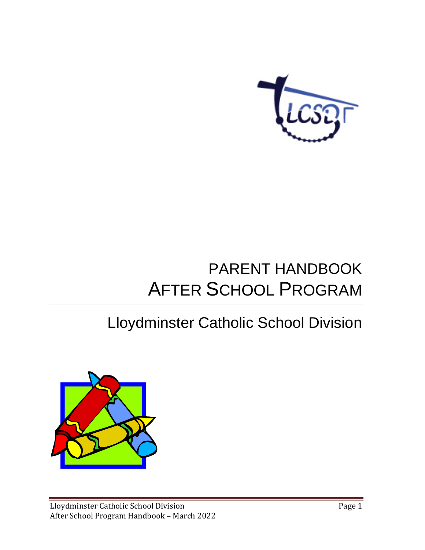

# PARENT HANDBOOK AFTER SCHOOL PROGRAM

# Lloydminster Catholic School Division

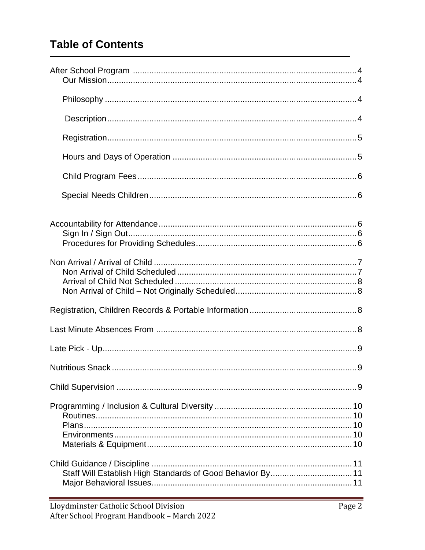# **Table of Contents**

| Staff Will Establish High Standards of Good Behavior By 11 |
|------------------------------------------------------------|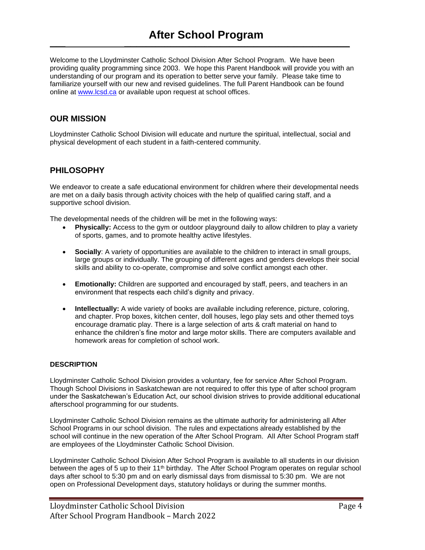**\_\_\_\_\_ \_\_\_\_\_\_\_\_\_\_\_\_\_\_\_\_\_\_\_\_\_\_\_\_\_\_\_\_\_\_\_\_\_\_\_\_\_\_\_\_\_\_\_\_\_\_\_\_\_\_\_\_\_\_\_\_\_\_\_\_\_\_\_\_\_\_\_\_\_\_\_\_\_**

Welcome to the Lloydminster Catholic School Division After School Program. We have been providing quality programming since 2003. We hope this Parent Handbook will provide you with an understanding of our program and its operation to better serve your family. Please take time to familiarize yourself with our new and revised guidelines. The full Parent Handbook can be found online at [www.lcsd.ca](http://www.lcsd.ca/) or available upon request at school offices.

### **OUR MISSION**

Lloydminster Catholic School Division will educate and nurture the spiritual, intellectual, social and physical development of each student in a faith-centered community.

### **PHILOSOPHY**

We endeavor to create a safe educational environment for children where their developmental needs are met on a daily basis through activity choices with the help of qualified caring staff, and a supportive school division.

The developmental needs of the children will be met in the following ways:

- **Physically:** Access to the gym or outdoor playground daily to allow children to play a variety of sports, games, and to promote healthy active lifestyles.
- **Socially**: A variety of opportunities are available to the children to interact in small groups, large groups or individually. The grouping of different ages and genders develops their social skills and ability to co-operate, compromise and solve conflict amongst each other.
- **Emotionally:** Children are supported and encouraged by staff, peers, and teachers in an environment that respects each child's dignity and privacy.
- **Intellectually:** A wide variety of books are available including reference, picture, coloring, and chapter. Prop boxes, kitchen center, doll houses, lego play sets and other themed toys encourage dramatic play. There is a large selection of arts & craft material on hand to enhance the children's fine motor and large motor skills. There are computers available and homework areas for completion of school work.

#### **DESCRIPTION**

Lloydminster Catholic School Division provides a voluntary, fee for service After School Program. Though School Divisions in Saskatchewan are not required to offer this type of after school program under the Saskatchewan's Education Act, our school division strives to provide additional educational afterschool programming for our students.

Lloydminster Catholic School Division remains as the ultimate authority for administering all After School Programs in our school division. The rules and expectations already established by the school will continue in the new operation of the After School Program. All After School Program staff are employees of the Lloydminster Catholic School Division.

Lloydminster Catholic School Division After School Program is available to all students in our division between the ages of 5 up to their 11<sup>th</sup> birthday. The After School Program operates on regular school days after school to 5:30 pm and on early dismissal days from dismissal to 5:30 pm. We are not open on Professional Development days, statutory holidays or during the summer months.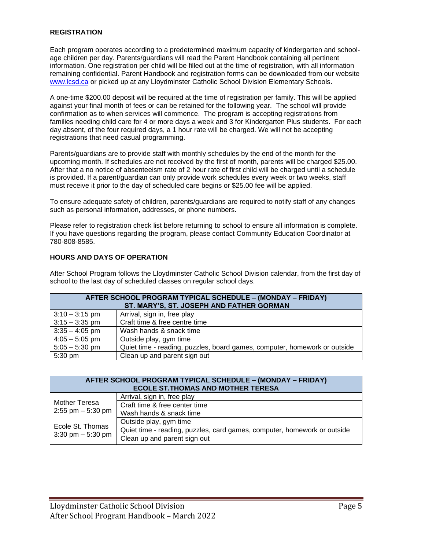#### **REGISTRATION**

Each program operates according to a predetermined maximum capacity of kindergarten and schoolage children per day. Parents/guardians will read the Parent Handbook containing all pertinent information. One registration per child will be filled out at the time of registration, with all information remaining confidential. Parent Handbook and registration forms can be downloaded from our website [www.lcsd.ca](http://www.lcsd.ca/) or picked up at any Lloydminster Catholic School Division Elementary Schools.

A one-time \$200.00 deposit will be required at the time of registration per family. This will be applied against your final month of fees or can be retained for the following year. The school will provide confirmation as to when services will commence. The program is accepting registrations from families needing child care for 4 or more days a week and 3 for Kindergarten Plus students. For each day absent, of the four required days, a 1 hour rate will be charged. We will not be accepting registrations that need casual programming.

Parents/guardians are to provide staff with monthly schedules by the end of the month for the upcoming month. If schedules are not received by the first of month, parents will be charged \$25.00. After that a no notice of absenteeism rate of 2 hour rate of first child will be charged until a schedule is provided. If a parent/guardian can only provide work schedules every week or two weeks, staff must receive it prior to the day of scheduled care begins or \$25.00 fee will be applied.

To ensure adequate safety of children, parents/guardians are required to notify staff of any changes such as personal information, addresses, or phone numbers.

Please refer to registration check list before returning to school to ensure all information is complete. If you have questions regarding the program, please contact Community Education Coordinator at 780-808-8585.

#### **HOURS AND DAYS OF OPERATION**

After School Program follows the Lloydminster Catholic School Division calendar, from the first day of school to the last day of scheduled classes on regular school days.

| <b>AFTER SCHOOL PROGRAM TYPICAL SCHEDULE – (MONDAY – FRIDAY)</b><br>ST. MARY'S, ST. JOSEPH AND FATHER GORMAN |                                                                           |  |  |  |
|--------------------------------------------------------------------------------------------------------------|---------------------------------------------------------------------------|--|--|--|
| $3:10 - 3:15$ pm                                                                                             | Arrival, sign in, free play                                               |  |  |  |
| $3:15 - 3:35$ pm                                                                                             | Craft time & free centre time                                             |  |  |  |
| $3:35 - 4:05$ pm                                                                                             | Wash hands & snack time                                                   |  |  |  |
| $4:05 - 5:05$ pm                                                                                             | Outside play, gym time                                                    |  |  |  |
| $5:05 - 5:30$ pm                                                                                             | Quiet time - reading, puzzles, board games, computer, homework or outside |  |  |  |
| 5:30 pm                                                                                                      | Clean up and parent sign out                                              |  |  |  |

| <b>AFTER SCHOOL PROGRAM TYPICAL SCHEDULE - (MONDAY - FRIDAY)</b><br><b>ECOLE ST. THOMAS AND MOTHER TERESA</b> |                                                                          |  |  |  |
|---------------------------------------------------------------------------------------------------------------|--------------------------------------------------------------------------|--|--|--|
| <b>Mother Teresa</b><br>2:55 pm $-$ 5:30 pm                                                                   | Arrival, sign in, free play                                              |  |  |  |
|                                                                                                               | Craft time & free center time                                            |  |  |  |
|                                                                                                               | Wash hands & snack time                                                  |  |  |  |
| Ecole St. Thomas<br>3:30 pm $-5:30$ pm                                                                        | Outside play, gym time                                                   |  |  |  |
|                                                                                                               | Quiet time - reading, puzzles, card games, computer, homework or outside |  |  |  |
|                                                                                                               | Clean up and parent sign out                                             |  |  |  |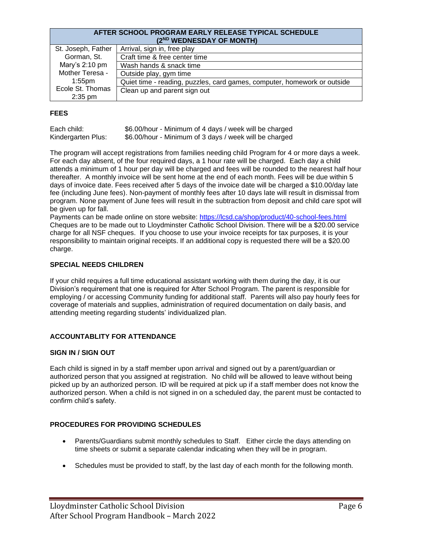#### **AFTER SCHOOL PROGRAM EARLY RELEASE TYPICAL SCHEDULE (2ND WEDNESDAY OF MONTH)**

| St. Joseph, Father | Arrival, sign in, free play                                              |  |  |  |  |
|--------------------|--------------------------------------------------------------------------|--|--|--|--|
| Gorman, St.        | Craft time & free center time                                            |  |  |  |  |
| Mary's $2:10$ pm   | Wash hands & snack time                                                  |  |  |  |  |
| Mother Teresa -    | Outside play, gym time                                                   |  |  |  |  |
| $1:55$ pm          | Quiet time - reading, puzzles, card games, computer, homework or outside |  |  |  |  |
| Ecole St. Thomas   | Clean up and parent sign out                                             |  |  |  |  |
| $2:35$ pm          |                                                                          |  |  |  |  |

#### **FEES**

| Each child:        | \$6.00/hour - Minimum of 4 days / week will be charged |
|--------------------|--------------------------------------------------------|
| Kindergarten Plus: | \$6.00/hour - Minimum of 3 days / week will be charged |

The program will accept registrations from families needing child Program for 4 or more days a week. For each day absent, of the four required days, a 1 hour rate will be charged. Each day a child attends a minimum of 1 hour per day will be charged and fees will be rounded to the nearest half hour thereafter. A monthly invoice will be sent home at the end of each month. Fees will be due within 5 days of invoice date. Fees received after 5 days of the invoice date will be charged a \$10.00/day late fee (including June fees). Non-payment of monthly fees after 10 days late will result in dismissal from program. None payment of June fees will result in the subtraction from deposit and child care spot will be given up for fall.

Payments can be made online on store website: <https://lcsd.ca/shop/product/40-school-fees.html> Cheques are to be made out to Lloydminster Catholic School Division. There will be a \$20.00 service charge for all NSF cheques. If you choose to use your invoice receipts for tax purposes, it is your responsibility to maintain original receipts. If an additional copy is requested there will be a \$20.00 charge.

#### **SPECIAL NEEDS CHILDREN**

If your child requires a full time educational assistant working with them during the day, it is our Division's requirement that one is required for After School Program. The parent is responsible for employing / or accessing Community funding for additional staff. Parents will also pay hourly fees for coverage of materials and supplies, administration of required documentation on daily basis, and attending meeting regarding students' individualized plan.

#### **ACCOUNTABLITY FOR ATTENDANCE**

#### **SIGN IN / SIGN OUT**

Each child is signed in by a staff member upon arrival and signed out by a parent/guardian or authorized person that you assigned at registration. No child will be allowed to leave without being picked up by an authorized person. ID will be required at pick up if a staff member does not know the authorized person. When a child is not signed in on a scheduled day, the parent must be contacted to confirm child's safety.

#### **PROCEDURES FOR PROVIDING SCHEDULES**

- Parents/Guardians submit monthly schedules to Staff. Either circle the days attending on time sheets or submit a separate calendar indicating when they will be in program.
- Schedules must be provided to staff, by the last day of each month for the following month.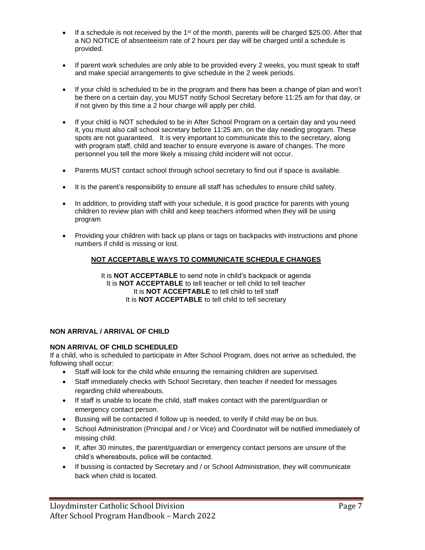- If a schedule is not received by the 1<sup>st</sup> of the month, parents will be charged \$25.00. After that a NO NOTICE of absenteeism rate of 2 hours per day will be charged until a schedule is provided.
- If parent work schedules are only able to be provided every 2 weeks, you must speak to staff and make special arrangements to give schedule in the 2 week periods.
- If your child is scheduled to be in the program and there has been a change of plan and won't be there on a certain day, you MUST notify School Secretary before 11:25 am for that day, or if not given by this time a 2 hour charge will apply per child.
- If your child is NOT scheduled to be in After School Program on a certain day and you need it, you must also call school secretary before 11:25 am, on the day needing program. These spots are not guaranteed. It is very important to communicate this to the secretary, along with program staff, child and teacher to ensure everyone is aware of changes. The more personnel you tell the more likely a missing child incident will not occur.
- Parents MUST contact school through school secretary to find out if space is available.
- It is the parent's responsibility to ensure all staff has schedules to ensure child safety.
- In addition, to providing staff with your schedule, it is good practice for parents with young children to review plan with child and keep teachers informed when they will be using program
- Providing your children with back up plans or tags on backpacks with instructions and phone numbers if child is missing or lost.

#### **NOT ACCEPTABLE WAYS TO COMMUNICATE SCHEDULE CHANGES**

It is **NOT ACCEPTABLE** to send note in child's backpack or agenda It is **NOT ACCEPTABLE** to tell teacher or tell child to tell teacher It is **NOT ACCEPTABLE** to tell child to tell staff It is **NOT ACCEPTABLE** to tell child to tell secretary

#### **NON ARRIVAL / ARRIVAL OF CHILD**

#### **NON ARRIVAL OF CHILD SCHEDULED**

If a child, who is scheduled to participate in After School Program, does not arrive as scheduled, the following shall occur:

- Staff will look for the child while ensuring the remaining children are supervised.
- Staff immediately checks with School Secretary, then teacher if needed for messages regarding child whereabouts.
- If staff is unable to locate the child, staff makes contact with the parent/guardian or emergency contact person.
- Bussing will be contacted if follow up is needed, to verify if child may be on bus.
- School Administration (Principal and / or Vice) and Coordinator will be notified immediately of missing child.
- If, after 30 minutes, the parent/guardian or emergency contact persons are unsure of the child's whereabouts, police will be contacted.
- If bussing is contacted by Secretary and / or School Administration, they will communicate back when child is located.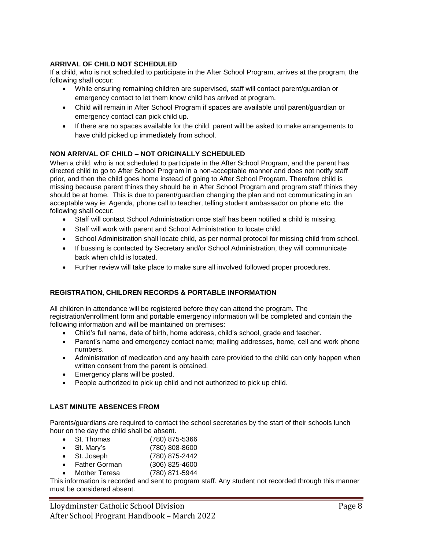#### **ARRIVAL OF CHILD NOT SCHEDULED**

If a child, who is not scheduled to participate in the After School Program, arrives at the program, the following shall occur:

- While ensuring remaining children are supervised, staff will contact parent/guardian or emergency contact to let them know child has arrived at program.
- Child will remain in After School Program if spaces are available until parent/guardian or emergency contact can pick child up.
- If there are no spaces available for the child, parent will be asked to make arrangements to have child picked up immediately from school.

#### **NON ARRIVAL OF CHILD – NOT ORIGINALLY SCHEDULED**

When a child, who is not scheduled to participate in the After School Program, and the parent has directed child to go to After School Program in a non-acceptable manner and does not notify staff prior, and then the child goes home instead of going to After School Program. Therefore child is missing because parent thinks they should be in After School Program and program staff thinks they should be at home. This is due to parent/guardian changing the plan and not communicating in an acceptable way ie: Agenda, phone call to teacher, telling student ambassador on phone etc. the following shall occur:

- Staff will contact School Administration once staff has been notified a child is missing.
- Staff will work with parent and School Administration to locate child.
- School Administration shall locate child, as per normal protocol for missing child from school.
- If bussing is contacted by Secretary and/or School Administration, they will communicate back when child is located.
- Further review will take place to make sure all involved followed proper procedures.

#### **REGISTRATION, CHILDREN RECORDS & PORTABLE INFORMATION**

All children in attendance will be registered before they can attend the program. The registration/enrollment form and portable emergency information will be completed and contain the following information and will be maintained on premises:

- Child's full name, date of birth, home address, child's school, grade and teacher.
- Parent's name and emergency contact name; mailing addresses, home, cell and work phone numbers.
- Administration of medication and any health care provided to the child can only happen when written consent from the parent is obtained.
- Emergency plans will be posted.
- People authorized to pick up child and not authorized to pick up child.

#### **LAST MINUTE ABSENCES FROM**

Parents/guardians are required to contact the school secretaries by the start of their schools lunch hour on the day the child shall be absent.

- St. Thomas (780) 875-5366
- St. Mary's (780) 808-8600
- St. Joseph (780) 875-2442
- Father Gorman (306) 825-4600
- Mother Teresa (780) 871-5944

This information is recorded and sent to program staff. Any student not recorded through this manner must be considered absent.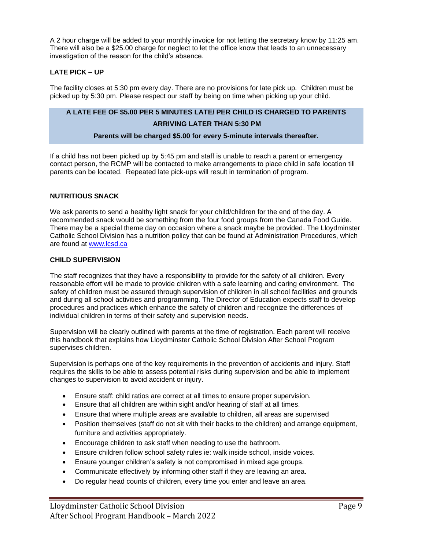A 2 hour charge will be added to your monthly invoice for not letting the secretary know by 11:25 am. There will also be a \$25.00 charge for neglect to let the office know that leads to an unnecessary investigation of the reason for the child's absence.

#### **LATE PICK – UP**

The facility closes at 5:30 pm every day. There are no provisions for late pick up. Children must be picked up by 5:30 pm. Please respect our staff by being on time when picking up your child.

## **A LATE FEE OF \$5.00 PER 5 MINUTES LATE/ PER CHILD IS CHARGED TO PARENTS**

#### **ARRIVING LATER THAN 5:30 PM**

#### **Parents will be charged \$5.00 for every 5-minute intervals thereafter.**

If a child has not been picked up by 5:45 pm and staff is unable to reach a parent or emergency contact person, the RCMP will be contacted to make arrangements to place child in safe location till parents can be located. Repeated late pick-ups will result in termination of program.

#### **NUTRITIOUS SNACK**

We ask parents to send a healthy light snack for your child/children for the end of the day. A recommended snack would be something from the four food groups from the Canada Food Guide. There may be a special theme day on occasion where a snack maybe be provided. The Lloydminster Catholic School Division has a nutrition policy that can be found at Administration Procedures, which are found at [www.lcsd.ca](http://www.lcsd.ca/)

#### **CHILD SUPERVISION**

The staff recognizes that they have a responsibility to provide for the safety of all children. Every reasonable effort will be made to provide children with a safe learning and caring environment. The safety of children must be assured through supervision of children in all school facilities and grounds and during all school activities and programming. The Director of Education expects staff to develop procedures and practices which enhance the safety of children and recognize the differences of individual children in terms of their safety and supervision needs.

Supervision will be clearly outlined with parents at the time of registration. Each parent will receive this handbook that explains how Lloydminster Catholic School Division After School Program supervises children.

Supervision is perhaps one of the key requirements in the prevention of accidents and injury. Staff requires the skills to be able to assess potential risks during supervision and be able to implement changes to supervision to avoid accident or injury.

- Ensure staff: child ratios are correct at all times to ensure proper supervision.
- Ensure that all children are within sight and/or hearing of staff at all times.
- Ensure that where multiple areas are available to children, all areas are supervised
- Position themselves (staff do not sit with their backs to the children) and arrange equipment, furniture and activities appropriately.
- Encourage children to ask staff when needing to use the bathroom.
- Ensure children follow school safety rules ie: walk inside school, inside voices.
- Ensure younger children's safety is not compromised in mixed age groups.
- Communicate effectively by informing other staff if they are leaving an area.
- Do regular head counts of children, every time you enter and leave an area.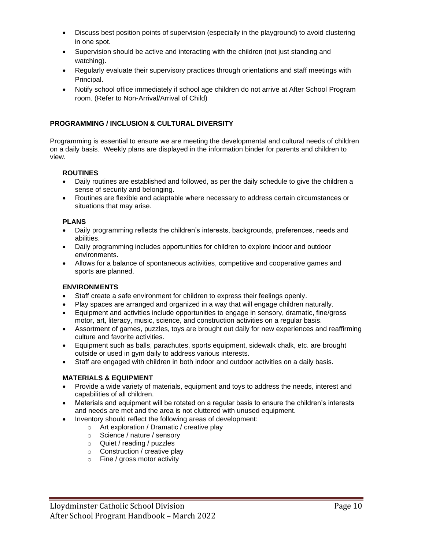- Discuss best position points of supervision (especially in the playground) to avoid clustering in one spot.
- Supervision should be active and interacting with the children (not just standing and watching).
- Regularly evaluate their supervisory practices through orientations and staff meetings with Principal.
- Notify school office immediately if school age children do not arrive at After School Program room. (Refer to Non-Arrival/Arrival of Child)

#### **PROGRAMMING / INCLUSION & CULTURAL DIVERSITY**

Programming is essential to ensure we are meeting the developmental and cultural needs of children on a daily basis. Weekly plans are displayed in the information binder for parents and children to view.

#### **ROUTINES**

- Daily routines are established and followed, as per the daily schedule to give the children a sense of security and belonging.
- Routines are flexible and adaptable where necessary to address certain circumstances or situations that may arise.

#### **PLANS**

- Daily programming reflects the children's interests, backgrounds, preferences, needs and abilities.
- Daily programming includes opportunities for children to explore indoor and outdoor environments.
- Allows for a balance of spontaneous activities, competitive and cooperative games and sports are planned.

#### **ENVIRONMENTS**

- Staff create a safe environment for children to express their feelings openly.
- Play spaces are arranged and organized in a way that will engage children naturally.
- Equipment and activities include opportunities to engage in sensory, dramatic, fine/gross motor, art, literacy, music, science, and construction activities on a regular basis.
- Assortment of games, puzzles, toys are brought out daily for new experiences and reaffirming culture and favorite activities.
- Equipment such as balls, parachutes, sports equipment, sidewalk chalk, etc. are brought outside or used in gym daily to address various interests.
- Staff are engaged with children in both indoor and outdoor activities on a daily basis.

#### **MATERIALS & EQUIPMENT**

- Provide a wide variety of materials, equipment and toys to address the needs, interest and capabilities of all children.
- Materials and equipment will be rotated on a regular basis to ensure the children's interests and needs are met and the area is not cluttered with unused equipment.
- Inventory should reflect the following areas of development:
	- o Art exploration / Dramatic / creative play
	- o Science / nature / sensory
	- o Quiet / reading / puzzles
	- o Construction / creative play
	- o Fine / gross motor activity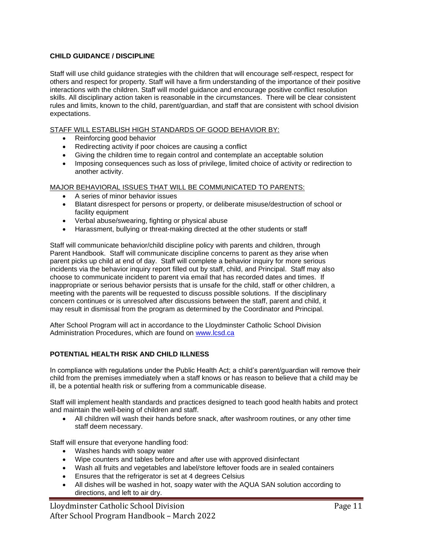#### **CHILD GUIDANCE / DISCIPLINE**

Staff will use child guidance strategies with the children that will encourage self-respect, respect for others and respect for property. Staff will have a firm understanding of the importance of their positive interactions with the children. Staff will model guidance and encourage positive conflict resolution skills. All disciplinary action taken is reasonable in the circumstances. There will be clear consistent rules and limits, known to the child, parent/guardian, and staff that are consistent with school division expectations.

#### STAFF WILL ESTABLISH HIGH STANDARDS OF GOOD BEHAVIOR BY:

- Reinforcing good behavior
- Redirecting activity if poor choices are causing a conflict
- Giving the children time to regain control and contemplate an acceptable solution
- Imposing consequences such as loss of privilege, limited choice of activity or redirection to another activity.

#### MAJOR BEHAVIORAL ISSUES THAT WILL BE COMMUNICATED TO PARENTS:

- A series of minor behavior issues
- Blatant disrespect for persons or property, or deliberate misuse/destruction of school or facility equipment
- Verbal abuse/swearing, fighting or physical abuse
- Harassment, bullying or threat-making directed at the other students or staff

Staff will communicate behavior/child discipline policy with parents and children, through Parent Handbook. Staff will communicate discipline concerns to parent as they arise when parent picks up child at end of day. Staff will complete a behavior inquiry for more serious incidents via the behavior inquiry report filled out by staff, child, and Principal. Staff may also choose to communicate incident to parent via email that has recorded dates and times. If inappropriate or serious behavior persists that is unsafe for the child, staff or other children, a meeting with the parents will be requested to discuss possible solutions. If the disciplinary concern continues or is unresolved after discussions between the staff, parent and child, it may result in dismissal from the program as determined by the Coordinator and Principal.

After School Program will act in accordance to the Lloydminster Catholic School Division Administration Procedures, which are found on [www.lcsd.ca](http://www.lcsd.ca/)

#### **POTENTIAL HEALTH RISK AND CHILD ILLNESS**

In compliance with regulations under the Public Health Act; a child's parent/guardian will remove their child from the premises immediately when a staff knows or has reason to believe that a child may be ill, be a potential health risk or suffering from a communicable disease.

Staff will implement health standards and practices designed to teach good health habits and protect and maintain the well-being of children and staff.

• All children will wash their hands before snack, after washroom routines, or any other time staff deem necessary.

Staff will ensure that everyone handling food:

- Washes hands with soapy water
- Wipe counters and tables before and after use with approved disinfectant
- Wash all fruits and vegetables and label/store leftover foods are in sealed containers
- Ensures that the refrigerator is set at 4 degrees Celsius
- All dishes will be washed in hot, soapy water with the AQUA SAN solution according to directions, and left to air dry.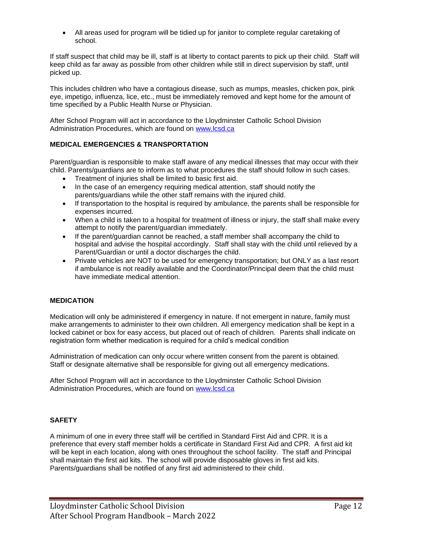• All areas used for program will be tidied up for janitor to complete regular caretaking of school.

If staff suspect that child may be ill, staff is at liberty to contact parents to pick up their child. Staff will keep child as far away as possible from other children while still in direct supervision by staff, until picked up.

This includes children who have a contagious disease, such as mumps, measles, chicken pox, pink eye, impetigo, influenza, lice, etc., must be immediately removed and kept home for the amount of time specified by a Public Health Nurse or Physician.

After School Program will act in accordance to the Lloydminster Catholic School Division Administration Procedures, which are found on [www.lcsd.ca](http://www.lcsd.ca/)

#### **MEDICAL EMERGENCIES & TRANSPORTATION**

Parent/guardian is responsible to make staff aware of any medical illnesses that may occur with their child. Parents/guardians are to inform as to what procedures the staff should follow in such cases.

- Treatment of injuries shall be limited to basic first aid.
- In the case of an emergency requiring medical attention, staff should notify the parents/guardians while the other staff remains with the injured child.
- If transportation to the hospital is required by ambulance, the parents shall be responsible for expenses incurred.
- When a child is taken to a hospital for treatment of illness or injury, the staff shall make every attempt to notify the parent/guardian immediately.
- If the parent/guardian cannot be reached, a staff member shall accompany the child to hospital and advise the hospital accordingly. Staff shall stay with the child until relieved by a Parent/Guardian or until a doctor discharges the child.
- Private vehicles are NOT to be used for emergency transportation; but ONLY as a last resort if ambulance is not readily available and the Coordinator/Principal deem that the child must have immediate medical attention.

#### **MEDICATION**

Medication will only be administered if emergency in nature. If not emergent in nature, family must make arrangements to administer to their own children. All emergency medication shall be kept in a locked cabinet or box for easy access, but placed out of reach of children. Parents shall indicate on registration form whether medication is required for a child's medical condition

Administration of medication can only occur where written consent from the parent is obtained. Staff or designate alternative shall be responsible for giving out all emergency medications.

After School Program will act in accordance to the Lloydminster Catholic School Division Administration Procedures, which are found on [www.lcsd.ca](http://www.lcsd.ca/)

#### **SAFETY**

A minimum of one in every three staff will be certified in Standard First Aid and CPR. It is a preference that every staff member holds a certificate in Standard First Aid and CPR. A first aid kit will be kept in each location, along with ones throughout the school facility. The staff and Principal shall maintain the first aid kits. The school will provide disposable gloves in first aid kits. Parents/guardians shall be notified of any first aid administered to their child.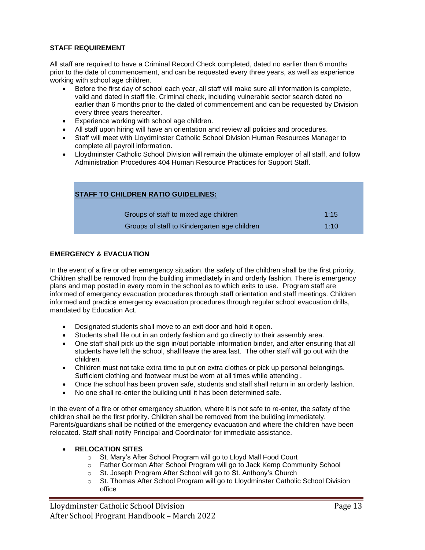#### **STAFF REQUIREMENT**

All staff are required to have a Criminal Record Check completed, dated no earlier than 6 months prior to the date of commencement, and can be requested every three years, as well as experience working with school age children.

- Before the first day of school each year, all staff will make sure all information is complete, valid and dated in staff file. Criminal check, including vulnerable sector search dated no earlier than 6 months prior to the dated of commencement and can be requested by Division every three years thereafter.
- Experience working with school age children.
- All staff upon hiring will have an orientation and review all policies and procedures.
- Staff will meet with Lloydminster Catholic School Division Human Resources Manager to complete all payroll information.
- Lloydminster Catholic School Division will remain the ultimate employer of all staff, and follow Administration Procedures 404 Human Resource Practices for Support Staff.

| <b>STAFF TO CHILDREN RATIO GUIDELINES:</b>   |      |  |  |  |  |
|----------------------------------------------|------|--|--|--|--|
| Groups of staff to mixed age children        | 1:15 |  |  |  |  |
| Groups of staff to Kindergarten age children | 1:10 |  |  |  |  |

#### **EMERGENCY & EVACUATION**

In the event of a fire or other emergency situation, the safety of the children shall be the first priority. Children shall be removed from the building immediately in and orderly fashion. There is emergency plans and map posted in every room in the school as to which exits to use. Program staff are informed of emergency evacuation procedures through staff orientation and staff meetings. Children informed and practice emergency evacuation procedures through regular school evacuation drills, mandated by Education Act.

- Designated students shall move to an exit door and hold it open.
- Students shall file out in an orderly fashion and go directly to their assembly area.
- One staff shall pick up the sign in/out portable information binder, and after ensuring that all students have left the school, shall leave the area last. The other staff will go out with the children.
- Children must not take extra time to put on extra clothes or pick up personal belongings. Sufficient clothing and footwear must be worn at all times while attending .
- Once the school has been proven safe, students and staff shall return in an orderly fashion.
- No one shall re-enter the building until it has been determined safe.

In the event of a fire or other emergency situation, where it is not safe to re-enter, the safety of the children shall be the first priority. Children shall be removed from the building immediately. Parents/guardians shall be notified of the emergency evacuation and where the children have been relocated. Staff shall notify Principal and Coordinator for immediate assistance.

#### • **RELOCATION SITES**

- o St. Mary's After School Program will go to Lloyd Mall Food Court
- o Father Gorman After School Program will go to Jack Kemp Community School
- o St. Joseph Program After School will go to St. Anthony's Church
- o St. Thomas After School Program will go to Lloydminster Catholic School Division office